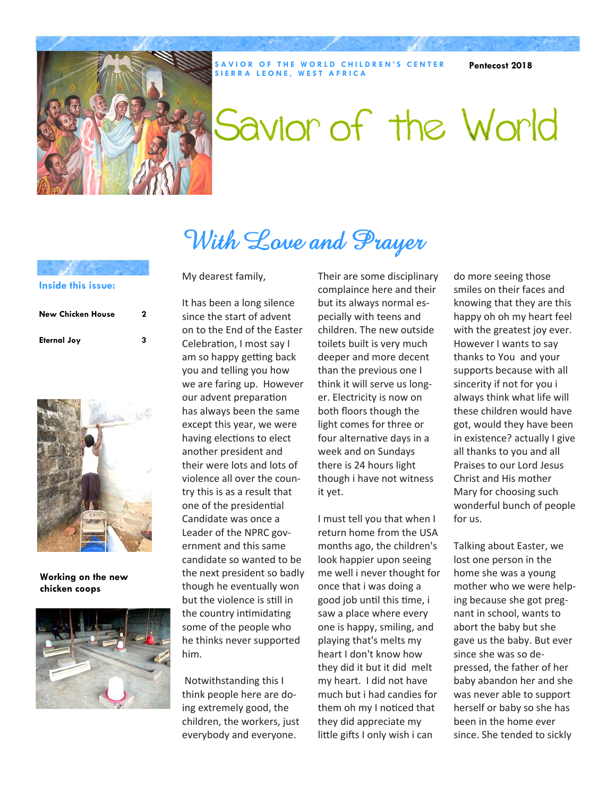

**SAVIOR OF THE WORLD CHILDREN'S CENTER SIERRA LEONE, WEST AFRICA** 

**Pentecost 2018** 

# Savior of the World

# With Love and Prayer

#### **Inside this issue:**

| <b>New Chicken House</b> | 2 |
|--------------------------|---|
| <b>Eternal Joy</b>       | з |



**Working on the new chicken coops** 



My dearest family,

It has been a long silence since the start of advent on to the End of the Easter Celebration, I most say I am so happy getting back you and telling you how we are faring up. However our advent preparation has always been the same except this year, we were having elections to elect another president and their were lots and lots of violence all over the country this is as a result that one of the presidential Candidate was once a Leader of the NPRC government and this same candidate so wanted to be the next president so badly though he eventually won but the violence is still in the country intimidating some of the people who he thinks never supported him.

 Notwithstanding this I think people here are doing extremely good, the children, the workers, just everybody and everyone.

Their are some disciplinary complaince here and their but its always normal especially with teens and children. The new outside toilets built is very much deeper and more decent than the previous one I think it will serve us longer. Electricity is now on both floors though the light comes for three or four alternative days in a week and on Sundays there is 24 hours light though i have not witness it yet.

I must tell you that when I return home from the USA months ago, the children's look happier upon seeing me well i never thought for once that i was doing a good job until this time, i saw a place where every one is happy, smiling, and playing that's melts my heart I don't know how they did it but it did melt my heart. I did not have much but i had candies for them oh my I noticed that they did appreciate my little gifts I only wish i can

do more seeing those smiles on their faces and knowing that they are this happy oh oh my heart feel with the greatest joy ever. However I wants to say thanks to You and your supports because with all sincerity if not for you i always think what life will these children would have got, would they have been in existence? actually I give all thanks to you and all Praises to our Lord Jesus Christ and His mother Mary for choosing such wonderful bunch of people for us.

Talking about Easter, we lost one person in the home she was a young mother who we were helping because she got pregnant in school, wants to abort the baby but she gave us the baby. But ever since she was so depressed, the father of her baby abandon her and she was never able to support herself or baby so she has been in the home ever since. She tended to sickly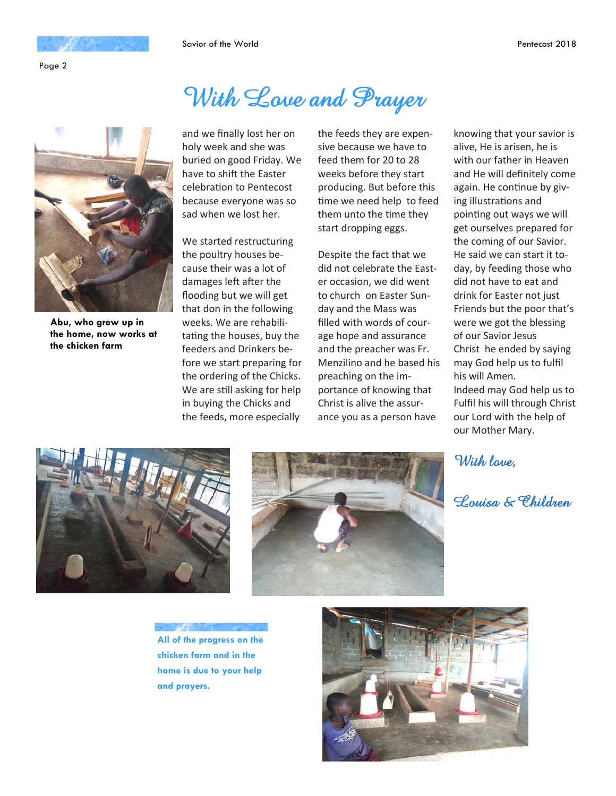Page 2

## With Love and Prayer



**Abu, who grew up in the home, now works at the chicken farm** 

and we finally lost her on holy week and she was buried on good Friday. We have to shift the Easter celebration to Pentecost because everyone was so sad when we lost her.

We started restructuring the poultry houses because their was a lot of damages left after the flooding but we will get that don in the following weeks. We are rehabilitating the houses, buy the feeders and Drinkers before we start preparing for the ordering of the Chicks. We are still asking for help in buying the Chicks and the feeds, more especially

the feeds they are expensive because we have to feed them for 20 to 28 weeks before they start producing. But before this time we need help to feed them unto the time they start dropping eggs.

Despite the fact that we did not celebrate the Easter occasion, we did went to church on Easter Sunday and the Mass was filled with words of courage hope and assurance and the preacher was Fr. Menzilino and he based his preaching on the importance of knowing that Christ is alive the assurance you as a person have

knowing that your savior is alive, He is arisen, he is with our father in Heaven and He will definitely come again. He continue by giving illustrations and pointing out ways we will get ourselves prepared for the coming of our Savior. He said we can start it today, by feeding those who did not have to eat and drink for Easter not just Friends but the poor that's were we got the blessing of our Savior Jesus Christ he ended by saying may God help us to fulfil his will Amen. Indeed may God help us to Fulfil his will through Christ our Lord with the help of our Mother Mary.

With lave,

Louisa & Children





**All of the progress on the chicken farm and in the home is due to your help and prayers.** 

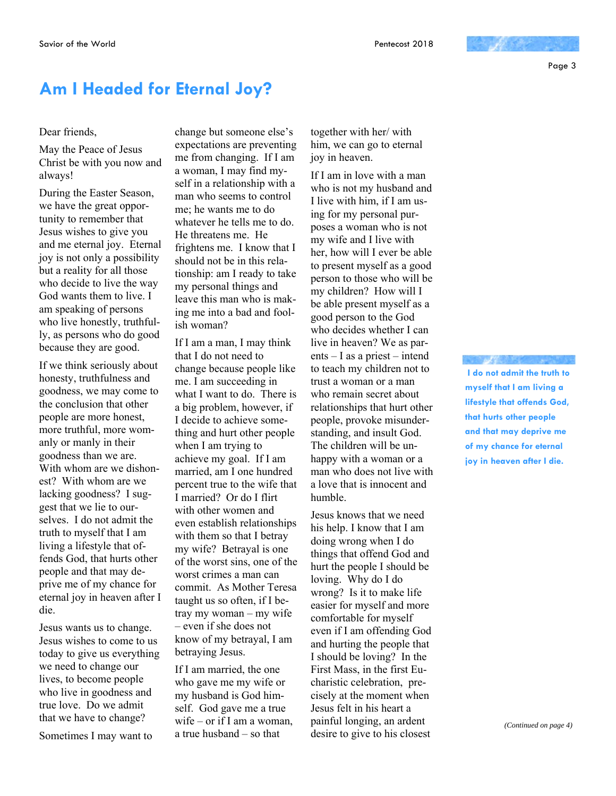Page 3

## **Am I Headed for Eternal Joy?**

#### Dear friends,

May the Peace of Jesus Christ be with you now and always!

During the Easter Season, we have the great opportunity to remember that Jesus wishes to give you and me eternal joy. Eternal joy is not only a possibility but a reality for all those who decide to live the way God wants them to live. I am speaking of persons who live honestly, truthfully, as persons who do good because they are good.

If we think seriously about honesty, truthfulness and goodness, we may come to the conclusion that other people are more honest, more truthful, more womanly or manly in their goodness than we are. With whom are we dishonest? With whom are we lacking goodness? I suggest that we lie to ourselves. I do not admit the truth to myself that I am living a lifestyle that offends God, that hurts other people and that may deprive me of my chance for eternal joy in heaven after I die.

Jesus wants us to change. Jesus wishes to come to us today to give us everything we need to change our lives, to become people who live in goodness and true love. Do we admit that we have to change?

Sometimes I may want to

change but someone else's expectations are preventing me from changing. If I am a woman, I may find myself in a relationship with a man who seems to control me; he wants me to do whatever he tells me to do. He threatens me. He frightens me. I know that I should not be in this relationship: am I ready to take my personal things and leave this man who is making me into a bad and foolish woman?

If I am a man, I may think that I do not need to change because people like me. I am succeeding in what I want to do. There is a big problem, however, if I decide to achieve something and hurt other people when I am trying to achieve my goal. If I am married, am I one hundred percent true to the wife that I married? Or do I flirt with other women and even establish relationships with them so that I betray my wife? Betrayal is one of the worst sins, one of the worst crimes a man can commit. As Mother Teresa taught us so often, if I betray my woman – my wife – even if she does not know of my betrayal, I am betraying Jesus.

If I am married, the one who gave me my wife or my husband is God himself. God gave me a true wife – or if I am a woman, a true husband – so that

together with her/ with him, we can go to eternal joy in heaven.

If I am in love with a man who is not my husband and I live with him, if I am using for my personal purposes a woman who is not my wife and I live with her, how will I ever be able to present myself as a good person to those who will be my children? How will I be able present myself as a good person to the God who decides whether I can live in heaven? We as parents – I as a priest – intend to teach my children not to trust a woman or a man who remain secret about relationships that hurt other people, provoke misunderstanding, and insult God. The children will be unhappy with a woman or a man who does not live with a love that is innocent and humble.

Jesus knows that we need his help. I know that I am doing wrong when I do things that offend God and hurt the people I should be loving. Why do I do wrong? Is it to make life easier for myself and more comfortable for myself even if I am offending God and hurting the people that I should be loving? In the First Mass, in the first Eucharistic celebration, precisely at the moment when Jesus felt in his heart a painful longing, an ardent desire to give to his closest

 **I do not admit the truth to myself that I am living a lifestyle that offends God, that hurts other people and that may deprive me of my chance for eternal joy in heaven after I die.**